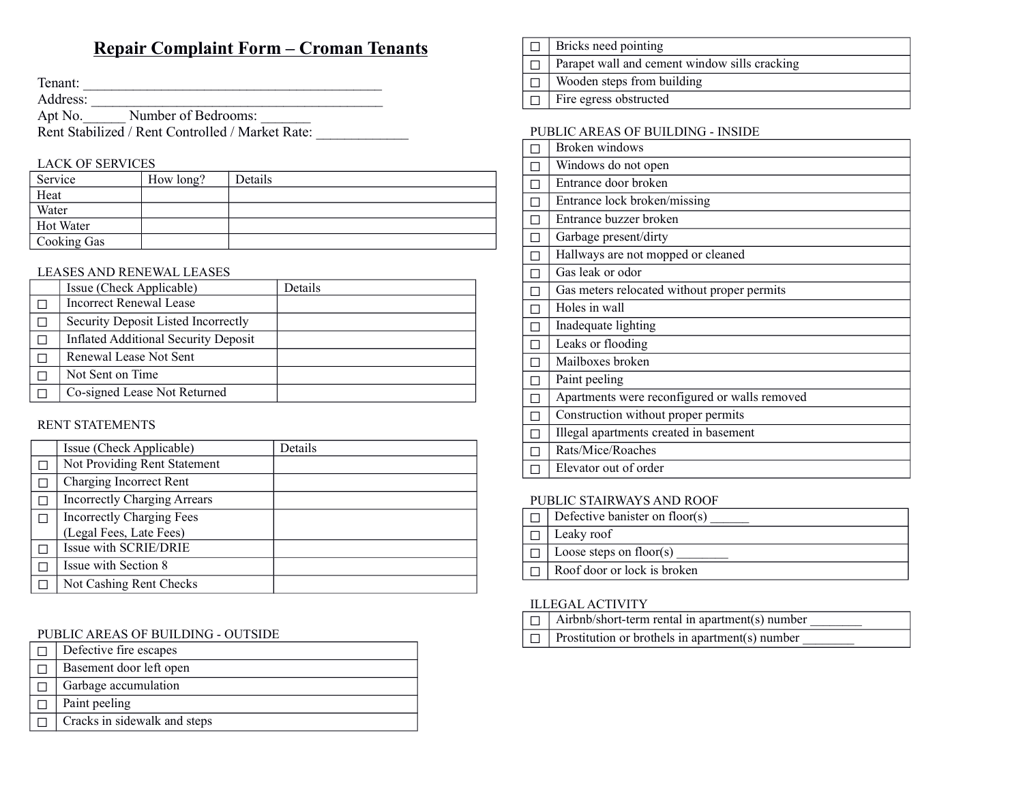# Repair Complaint Form – Croman Tenants

Tenant:

Address:

Apt No. Number of Bedrooms:

Rent Stabilized / Rent Controlled / Market Rate:

## LACK OF SERVICES

| Service     | How long? | Details |
|-------------|-----------|---------|
| Heat        |           |         |
| Water       |           |         |
| Hot Water   |           |         |
| Cooking Gas |           |         |

#### LEASES AND RENEWAL LEASES

| Issue (Check Applicable)                    | Details |
|---------------------------------------------|---------|
| Incorrect Renewal Lease                     |         |
| Security Deposit Listed Incorrectly         |         |
| <b>Inflated Additional Security Deposit</b> |         |
| Renewal Lease Not Sent                      |         |
| Not Sent on Time                            |         |
| Co-signed Lease Not Returned                |         |

#### RENT STATEMENTS

| Issue (Check Applicable)            | Details |
|-------------------------------------|---------|
| Not Providing Rent Statement        |         |
| Charging Incorrect Rent             |         |
| <b>Incorrectly Charging Arrears</b> |         |
| <b>Incorrectly Charging Fees</b>    |         |
| (Legal Fees, Late Fees)             |         |
| Issue with SCRIE/DRIE               |         |
| Issue with Section 8                |         |
| Not Cashing Rent Checks             |         |

#### PUBLIC AREAS OF BUILDING - OUTSIDE

- $\Box$  Defective fire escapes
- □ Basement door left open
- $\Box$  Garbage accumulation
- $\Box$  Paint peeling
- $\Box$  Cracks in sidewalk and steps

 $\Box$  Bricks need pointing

□ Parapet wall and cement window sills cracking

 $\Box$  Wooden steps from building

□ Fire egress obstructed

#### PUBLIC AREAS OF BUILDING - INSIDE

| Broken windows                                |
|-----------------------------------------------|
| Windows do not open                           |
| Entrance door broken                          |
| Entrance lock broken/missing                  |
| Entrance buzzer broken                        |
| Garbage present/dirty                         |
| Hallways are not mopped or cleaned            |
| Gas leak or odor                              |
| Gas meters relocated without proper permits   |
| Holes in wall                                 |
| Inadequate lighting                           |
| Leaks or flooding                             |
| Mailboxes broken                              |
| Paint peeling                                 |
| Apartments were reconfigured or walls removed |
| Construction without proper permits           |
| Illegal apartments created in basement        |
| Rats/Mice/Roaches                             |
| Elevator out of order                         |

#### PUBLIC STAIRWAYS AND ROOF

 $\Box$  Defective banister on floor(s)  $\Box$  Leaky roof  $\Box$  Loose steps on floor(s)  $\Box$  Roof door or lock is broken

## ILLEGAL ACTIVITY

| $\Box$ Airbnb/short-term rental in apartment(s) number |
|--------------------------------------------------------|
| $\Box$ Prostitution or brothels in apartment(s) number |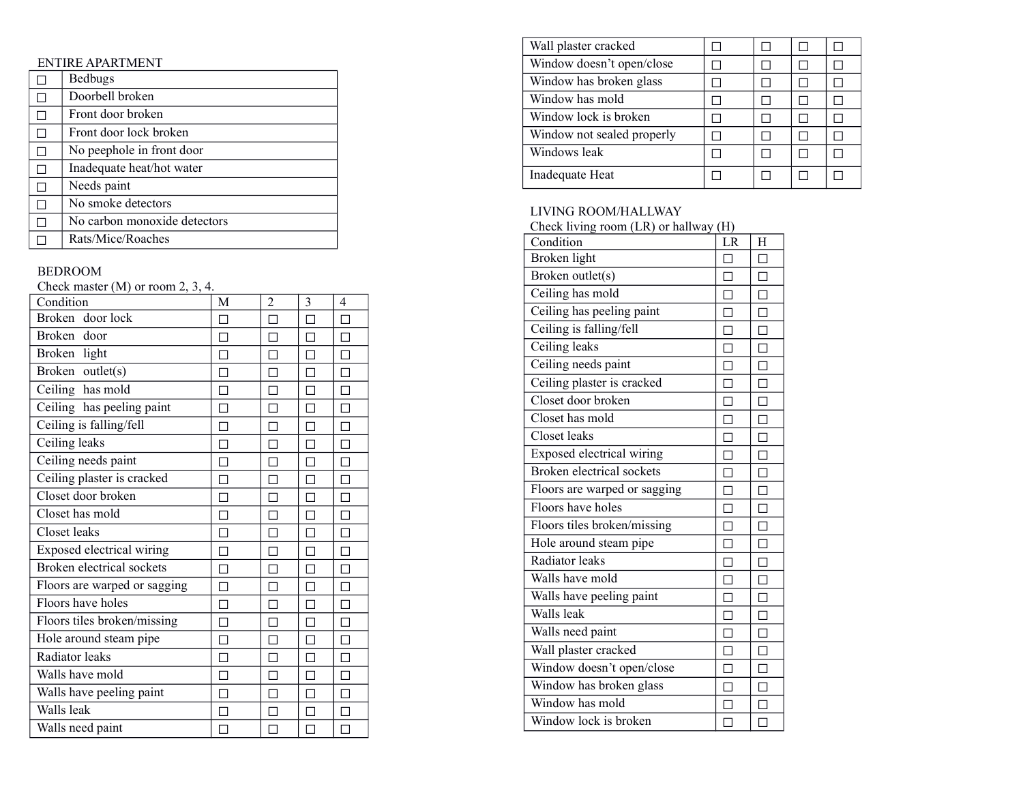## ENTIRE APARTMENT

| <b>Bedbugs</b>               |
|------------------------------|
| Doorbell broken              |
| Front door broken            |
| Front door lock broken       |
| No peephole in front door    |
| Inadequate heat/hot water    |
| Needs paint                  |
| No smoke detectors           |
| No carbon monoxide detectors |
| Rats/Mice/Roaches            |

## BEDROOM

Check master (M) or room 2, 3, 4.

| Condition                    | М | 2 | 3 | 4      |
|------------------------------|---|---|---|--------|
| Broken door lock             |   | П | П | П      |
| Broken door                  |   |   |   | П      |
| Broken light                 |   |   |   | П      |
| Broken outlet(s)             |   |   |   | П      |
| Ceiling has mold             |   |   |   | $\Box$ |
| Ceiling has peeling paint    |   |   |   | П      |
| Ceiling is falling/fell      |   |   |   | П      |
| Ceiling leaks                |   |   |   | П      |
| Ceiling needs paint          |   |   |   | П      |
| Ceiling plaster is cracked   |   |   |   | $\Box$ |
| Closet door broken           |   |   |   | П      |
| Closet has mold              |   |   |   | $\Box$ |
| Closet leaks                 |   |   |   | П      |
| Exposed electrical wiring    |   |   |   | П      |
| Broken electrical sockets    |   |   |   | $\Box$ |
| Floors are warped or sagging |   |   |   | П      |
| Floors have holes            |   |   |   | П      |
| Floors tiles broken/missing  |   |   |   | П      |
| Hole around steam pipe       |   |   |   | П      |
| Radiator leaks               |   |   |   | П      |
| Walls have mold              |   |   |   | П      |
| Walls have peeling paint     |   |   |   | П      |
| Walls leak                   |   |   |   |        |
| Walls need paint             |   |   |   |        |

| Wall plaster cracked       |  |  |
|----------------------------|--|--|
| Window doesn't open/close  |  |  |
| Window has broken glass    |  |  |
| Window has mold            |  |  |
| Window lock is broken      |  |  |
| Window not sealed properly |  |  |
| Windows leak               |  |  |
| Inadequate Heat            |  |  |

| LIVING ROOM/HALLWAY<br>Check living room (LR) or hallway (H) |        |        |
|--------------------------------------------------------------|--------|--------|
| Condition                                                    | LR     | H      |
| Broken light                                                 | $\Box$ | П      |
| Broken outlet(s)                                             | $\Box$ | $\Box$ |
| Ceiling has mold                                             | П      | $\Box$ |
| Ceiling has peeling paint                                    | П      | П      |
| Ceiling is falling/fell                                      | П      | $\Box$ |
| Ceiling leaks                                                | П      | $\Box$ |
| Ceiling needs paint                                          | П      | $\Box$ |
| Ceiling plaster is cracked                                   | П      | П      |
| Closet door broken                                           | $\Box$ | $\Box$ |
| Closet has mold                                              | П      | П      |
| Closet leaks                                                 | П      | П      |
| Exposed electrical wiring                                    | П      | П      |
| <b>Broken</b> electrical sockets                             | П      | П      |
| Floors are warped or sagging                                 | П      | $\Box$ |
| Floors have holes                                            | П      | П      |
| Floors tiles broken/missing                                  | П      | $\Box$ |
| Hole around steam pipe                                       | П      | $\Box$ |
| Radiator leaks                                               | П      | $\Box$ |
| Walls have mold                                              | П      | П      |
| Walls have peeling paint                                     |        |        |
| Walls leak                                                   | П      | П      |
| Walls need paint                                             | П      | $\Box$ |
| Wall plaster cracked                                         | П      | $\Box$ |
| Window doesn't open/close                                    |        | П      |
| Window has broken glass                                      | П      | П      |
| Window has mold                                              | П      | $\Box$ |
| Window lock is broken                                        | П      |        |